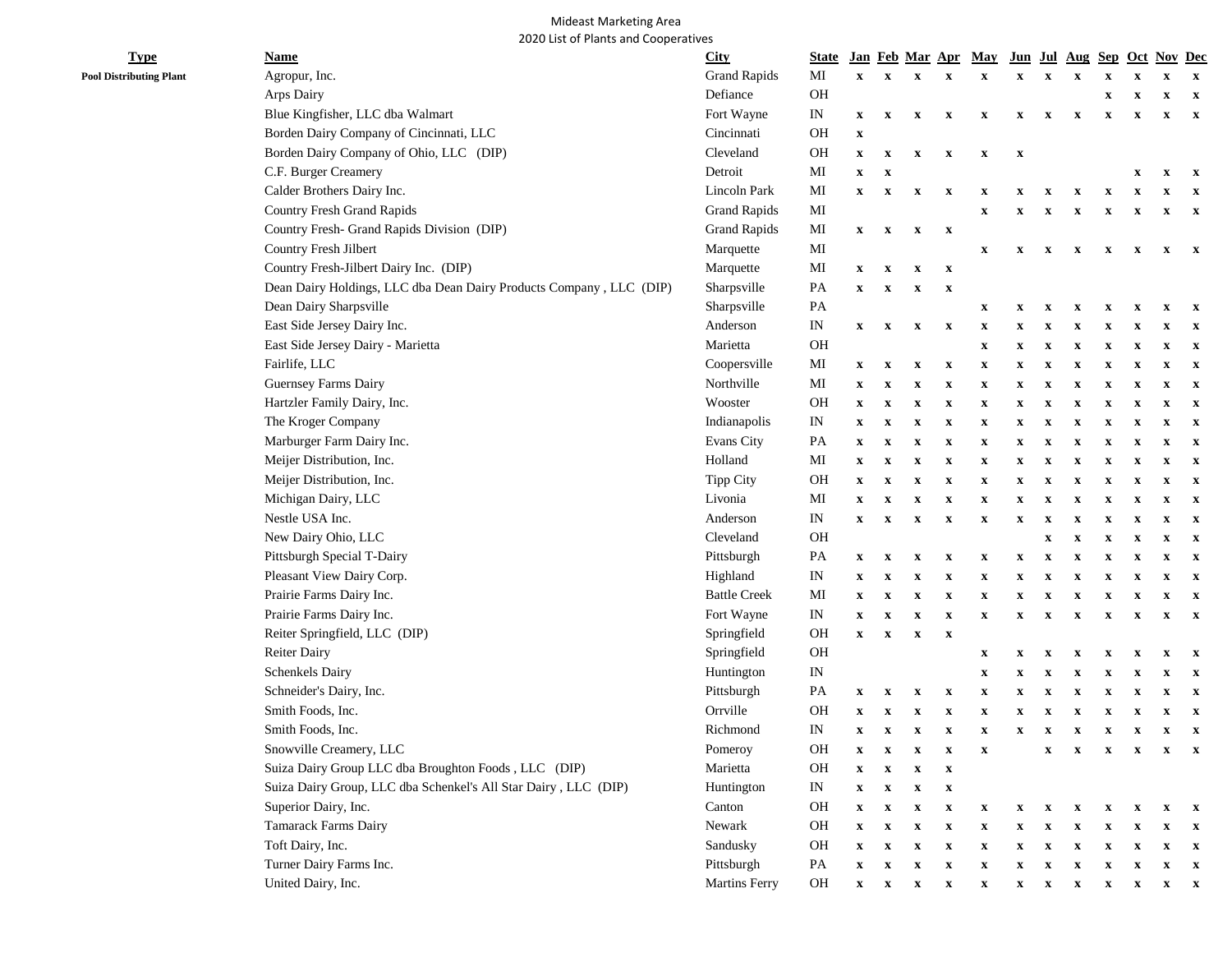## Mideast Marketing Area 2020 List of Plants and Cooperatives

| <b>Type</b>                    | <b>Name</b>                                                         | <b>City</b>          | <b>State</b>                    |                           |                           |                           |                           | Jan Feb Mar Apr May       |                           |                           | <u>Jun Jul Aug Sep Oct Nov Dec</u> |                           |              |                           |                           |
|--------------------------------|---------------------------------------------------------------------|----------------------|---------------------------------|---------------------------|---------------------------|---------------------------|---------------------------|---------------------------|---------------------------|---------------------------|------------------------------------|---------------------------|--------------|---------------------------|---------------------------|
| <b>Pool Distributing Plant</b> | Agropur, Inc.                                                       | <b>Grand Rapids</b>  | MI                              | $\mathbf{x}$              | $\mathbf{x}$              | $\mathbf X$               | $\mathbf x$               | X                         | $\boldsymbol{\mathrm{X}}$ | X                         |                                    |                           |              |                           | $\mathbf x$               |
|                                | Arps Dairy                                                          | Defiance             | OH                              |                           |                           |                           |                           |                           |                           |                           |                                    | $\boldsymbol{\mathrm{X}}$ | x            | x                         | $\mathbf x$               |
|                                | Blue Kingfisher, LLC dba Walmart                                    | Fort Wayne           | IN                              | $\mathbf x$               | $\mathbf{x}$              | $\mathbf{x}$              | $\mathbf x$               | x                         | $\mathbf x$               | $\mathbf{x}$              | $\mathbf x$                        | $\boldsymbol{\mathrm{X}}$ | X            | X                         | $\mathbf{x}$              |
|                                | Borden Dairy Company of Cincinnati, LLC                             | Cincinnati           | OH                              | $\boldsymbol{\mathrm{X}}$ |                           |                           |                           |                           |                           |                           |                                    |                           |              |                           |                           |
|                                | Borden Dairy Company of Ohio, LLC (DIP)                             | Cleveland            | OH                              | $\mathbf x$               | $\boldsymbol{\mathrm{X}}$ | $\boldsymbol{\mathrm{X}}$ | $\boldsymbol{\mathrm{X}}$ | $\boldsymbol{\mathrm{X}}$ | $\boldsymbol{\mathrm{X}}$ |                           |                                    |                           |              |                           |                           |
|                                | C.F. Burger Creamery                                                | Detroit              | MI                              | $\mathbf x$               | $\boldsymbol{\mathrm{X}}$ |                           |                           |                           |                           |                           |                                    |                           | X            | X                         | $\mathbf{x}$              |
|                                | Calder Brothers Dairy Inc.                                          | Lincoln Park         | MI                              | $\mathbf x$               | $\mathbf{x}$              | $\boldsymbol{\mathrm{X}}$ | $\boldsymbol{\mathrm{X}}$ | x                         | x                         | X                         | $\mathbf x$                        | X                         | X            | X                         | $\mathbf{x}$              |
|                                | <b>Country Fresh Grand Rapids</b>                                   | <b>Grand Rapids</b>  | MI                              |                           |                           |                           |                           | $\boldsymbol{\mathrm{X}}$ | x                         | $\mathbf x$               | $\boldsymbol{\mathrm{X}}$          | $\boldsymbol{\mathrm{X}}$ | X            | x                         | $\mathbf{x}$              |
|                                | Country Fresh- Grand Rapids Division (DIP)                          | <b>Grand Rapids</b>  | MI                              | $\mathbf x$               | $\mathbf{x}$              | $\boldsymbol{\mathrm{X}}$ | $\mathbf{x}$              |                           |                           |                           |                                    |                           |              |                           |                           |
|                                | Country Fresh Jilbert                                               | Marquette            | MI                              |                           |                           |                           |                           | $\mathbf x$               | $\mathbf{x}$              | $\mathbf{x}$              | $\mathbf{x}$                       | $\mathbf{x}$              | $\mathbf{x}$ | $\mathbf{x}$              | $\mathbf{x}$              |
|                                | Country Fresh-Jilbert Dairy Inc. (DIP)                              | Marquette            | MI                              | $\mathbf{x}$              | $\mathbf{x}$              | $\boldsymbol{\mathrm{X}}$ | $\boldsymbol{\mathrm{x}}$ |                           |                           |                           |                                    |                           |              |                           |                           |
|                                | Dean Dairy Holdings, LLC dba Dean Dairy Products Company, LLC (DIP) | Sharpsville          | PA                              | $\mathbf x$               | $\mathbf{x}$              | $\mathbf X$               | $\mathbf X$               |                           |                           |                           |                                    |                           |              |                           |                           |
|                                | Dean Dairy Sharpsville                                              | Sharpsville          | PA                              |                           |                           |                           |                           | x                         | x                         | x                         | x                                  | X                         | x            | x                         | $\mathbf{x}$              |
|                                | East Side Jersey Dairy Inc.                                         | Anderson             | $\ensuremath{\text{IN}}\xspace$ | $\mathbf{x}$              | $\mathbf{x}$              | $\mathbf X$               | $\mathbf X$               | x                         | x                         | x                         | X                                  | X                         | x            | x                         | $\mathbf x$               |
|                                | East Side Jersey Dairy - Marietta                                   | Marietta             | OH                              |                           |                           |                           |                           | $\boldsymbol{\mathrm{X}}$ | x                         | X                         | $\boldsymbol{\mathrm{X}}$          | X                         | x            | x                         | $\mathbf x$               |
|                                | Fairlife, LLC                                                       | Coopersville         | MI                              | $\mathbf{x}$              | $\mathbf X$               | $\mathbf X$               | $\boldsymbol{\mathrm{X}}$ | X                         | x                         | X                         | X                                  | x                         | x            | x                         | $\mathbf x$               |
|                                | Guernsey Farms Dairy                                                | Northville           | MI                              | $\boldsymbol{\mathrm{X}}$ | $\mathbf x$               | $\boldsymbol{\mathrm{X}}$ | $\boldsymbol{\mathrm{X}}$ | x                         | $\boldsymbol{\mathrm{X}}$ | $\boldsymbol{\mathrm{x}}$ | X                                  | x                         |              | x                         | $\mathbf x$               |
|                                | Hartzler Family Dairy, Inc.                                         | Wooster              | <b>OH</b>                       | $\mathbf x$               | $\mathbf X$               | $\boldsymbol{\mathrm{X}}$ | $\mathbf X$               | $\boldsymbol{\mathrm{X}}$ | $\boldsymbol{\mathrm{X}}$ | $\boldsymbol{\mathrm{X}}$ | $\boldsymbol{\mathrm{X}}$          | $\boldsymbol{\mathrm{X}}$ | x            | x                         | $\mathbf x$               |
|                                | The Kroger Company                                                  | Indianapolis         | IN                              | $\boldsymbol{\mathrm{X}}$ | $\mathbf X$               | $\boldsymbol{\mathrm{X}}$ | $\boldsymbol{\mathrm{X}}$ | x                         | $\boldsymbol{\mathrm{X}}$ | $\boldsymbol{\mathrm{X}}$ | $\boldsymbol{\mathrm{X}}$          | x                         | x            | X                         | $\mathbf x$               |
|                                | Marburger Farm Dairy Inc.                                           | <b>Evans City</b>    | $\mathbf{PA}$                   | $\boldsymbol{\mathrm{X}}$ | $\mathbf X$               | $\boldsymbol{\mathrm{X}}$ | $\mathbf X$               | $\boldsymbol{\mathrm{X}}$ | x                         | $\boldsymbol{\mathrm{X}}$ | $\boldsymbol{\mathrm{X}}$          | $\boldsymbol{\mathrm{X}}$ | x            | x                         | $\mathbf x$               |
|                                | Meijer Distribution, Inc.                                           | Holland              | MI                              | $\boldsymbol{\mathrm{X}}$ | $\mathbf X$               | $\boldsymbol{\mathrm{X}}$ | $\mathbf X$               | $\mathbf x$               | x                         | $\boldsymbol{\mathrm{X}}$ | $\boldsymbol{\mathrm{X}}$          | x                         | x            | x                         | $\boldsymbol{\mathrm{X}}$ |
|                                | Meijer Distribution, Inc.                                           | <b>Tipp City</b>     | OH                              | $\boldsymbol{\mathrm{X}}$ | $\mathbf X$               | $\boldsymbol{\mathrm{X}}$ | $\mathbf X$               | x                         | x                         | X                         | $\boldsymbol{\mathrm{X}}$          | x                         | x            | x                         | $\mathbf x$               |
|                                | Michigan Dairy, LLC                                                 | Livonia              | MI                              | $\boldsymbol{\mathrm{X}}$ | $\mathbf x$               | $\boldsymbol{\mathrm{X}}$ | $\boldsymbol{\mathrm{X}}$ | $\boldsymbol{\mathrm{X}}$ | x                         | $\boldsymbol{\mathrm{X}}$ | X                                  | X                         | x            | x                         | $\mathbf x$               |
|                                | Nestle USA Inc.                                                     | Anderson             | $\mathop{\rm IN}\nolimits$      | $\mathbf x$               | $\mathbf X$               | $\mathbf X$               | $\boldsymbol{\mathrm{X}}$ | $\mathbf X$               | $\boldsymbol{\mathrm{X}}$ | $\boldsymbol{\mathrm{X}}$ | X                                  | $\boldsymbol{\mathrm{X}}$ | x            | $\boldsymbol{\mathrm{X}}$ | $\mathbf{x}$              |
|                                | New Dairy Ohio, LLC                                                 | Cleveland            | OH                              |                           |                           |                           |                           |                           |                           | $\boldsymbol{\mathrm{x}}$ | $\boldsymbol{\mathrm{X}}$          | $\boldsymbol{\mathrm{X}}$ | x            | x                         | $\boldsymbol{\mathrm{X}}$ |
|                                | Pittsburgh Special T-Dairy                                          | Pittsburgh           | PA                              | $\mathbf{x}$              | $\mathbf{x}$              | $\boldsymbol{\mathrm{X}}$ | $\boldsymbol{\mathrm{X}}$ | $\mathbf X$               | $\boldsymbol{\mathrm{X}}$ | $\boldsymbol{\mathrm{X}}$ | $\boldsymbol{\mathrm{X}}$          | $\boldsymbol{\mathrm{X}}$ | x            | x                         | $\boldsymbol{\mathrm{X}}$ |
|                                | Pleasant View Dairy Corp.                                           | Highland             | IN                              | $\boldsymbol{\mathrm{X}}$ | $\mathbf x$               | $\boldsymbol{\mathrm{X}}$ | $\mathbf X$               | $\mathbf X$               | x                         | $\boldsymbol{\mathrm{X}}$ | $\mathbf x$                        | X                         | X            | x                         | $\mathbf x$               |
|                                | Prairie Farms Dairy Inc.                                            | <b>Battle Creek</b>  | MI                              | $\mathbf x$               | $\boldsymbol{\mathrm{X}}$ | $\boldsymbol{\mathrm{X}}$ | $\boldsymbol{\mathrm{X}}$ | $\mathbf X$               | x                         | $\boldsymbol{\mathrm{X}}$ | x                                  | X                         | x            | X                         | $\mathbf x$               |
|                                | Prairie Farms Dairy Inc.                                            | Fort Wayne           | $\ensuremath{\text{IN}}\xspace$ | $\boldsymbol{\mathrm{X}}$ | $\mathbf x$               | $\mathbf{x}$              | $\mathbf X$               | $\mathbf X$               | x                         | $\boldsymbol{\mathrm{X}}$ | $\mathbf x$                        | $\mathbf X$               | X            | X                         | $\mathbf{x}$              |
|                                | Reiter Springfield, LLC (DIP)                                       | Springfield          | $\rm OH$                        | $\mathbf x$               | $\boldsymbol{\mathrm{X}}$ | $\mathbf x$               | $\mathbf X$               |                           |                           |                           |                                    |                           |              |                           |                           |
|                                | Reiter Dairy                                                        | Springfield          | $\rm OH$                        |                           |                           |                           |                           | x                         | x                         | x                         | x                                  | X                         | X            | x                         | $\mathbf x$               |
|                                | Schenkels Dairy                                                     | Huntington           | IN                              |                           |                           |                           |                           | x                         | x                         | x                         | x                                  | x                         |              |                           | $\mathbf{x}$              |
|                                | Schneider's Dairy, Inc.                                             | Pittsburgh           | PA                              | $\mathbf x$               | $\mathbf{x}$              | $\mathbf{x}$              | $\mathbf X$               | $\mathbf X$               | x                         | X                         | $\mathbf X$                        | $\mathbf X$               |              | X                         | $\mathbf{x}$              |
|                                | Smith Foods, Inc.                                                   | Orrville             | OH                              | $\mathbf x$               | $\mathbf x$               | $\boldsymbol{\mathrm{X}}$ | $\boldsymbol{\mathrm{X}}$ | $\mathbf X$               | X                         | x                         | X                                  | x                         |              |                           | $\mathbf{x}$              |
|                                | Smith Foods, Inc.                                                   | Richmond             | $\ensuremath{\text{IN}}\xspace$ | $\mathbf{x}$              | $\mathbf{x}$              | X                         | $\boldsymbol{\mathrm{X}}$ | x                         | x                         | X                         | $\mathbf x$                        | $\mathbf x$               | X            | x                         | $\mathbf{x}$              |
|                                | Snowville Creamery, LLC                                             | Pomeroy              | OH                              | x                         | x                         | X                         | X                         |                           |                           | X                         | $\mathbf{x}$                       | $\mathbf{x}$              |              | $X$ $X$ $X$               |                           |
|                                | Suiza Dairy Group LLC dba Broughton Foods, LLC (DIP)                | Marietta             | <b>OH</b>                       | $\mathbf x$               | $\mathbf x$               | $\mathbf x$               | $\boldsymbol{\mathrm{X}}$ |                           |                           |                           |                                    |                           |              |                           |                           |
|                                | Suiza Dairy Group, LLC dba Schenkel's All Star Dairy , LLC (DIP)    | Huntington           | IN                              | $\mathbf X$               | $\mathbf X$               | $\boldsymbol{\mathrm{X}}$ | $\mathbf X$               |                           |                           |                           |                                    |                           |              |                           |                           |
|                                | Superior Dairy, Inc.                                                | Canton               | <b>OH</b>                       | $\mathbf x$               | $\boldsymbol{\mathrm{X}}$ | $\mathbf x$               | $\mathbf x$               | x                         | X                         | $\mathbf{x}$              | $\mathbf{x}$                       | $\mathbf{x}$              | $\mathbf{x}$ | X                         | $\mathbf{x}$              |
|                                | Tamarack Farms Dairy                                                | Newark               | OH                              | $\mathbf x$               | $\mathbf{x}$              | $\mathbf X$               | $\mathbf x$               | $\mathbf X$               | x                         | $\mathbf x$               | x                                  | $\mathbf x$               | X            |                           | $\mathbf{x}$              |
|                                | Toft Dairy, Inc.                                                    | Sandusky             | OH                              | $\mathbf x$               | $\boldsymbol{\mathrm{X}}$ | $\mathbf X$               | $\mathbf x$               | $\mathbf X$               | $\mathbf x$               | $\boldsymbol{\mathrm{X}}$ | $\boldsymbol{\mathrm{X}}$          | $\boldsymbol{\mathrm{X}}$ | X            | X                         | $\mathbf{x}$              |
|                                | Turner Dairy Farms Inc.                                             | Pittsburgh           | PA                              | $\mathbf x$               | $\boldsymbol{\mathrm{X}}$ | $\mathbf x$               | $\mathbf X$               | $\boldsymbol{\mathrm{X}}$ | $\boldsymbol{\mathrm{X}}$ | $\boldsymbol{\mathrm{x}}$ | $\boldsymbol{\mathrm{X}}$          | $\mathbf{x}$              | X            | x                         | $\mathbf{x}$              |
|                                | United Dairy, Inc.                                                  | <b>Martins Ferry</b> | OH                              | $\boldsymbol{\mathrm{X}}$ | $\mathbf{x}$              | $\boldsymbol{\mathrm{X}}$ | $\mathbf x$               | $\mathbf{x}$              | $\mathbf{x}$              | $\mathbf{x}$              | $\mathbf{x}$                       | $\mathbf{x}$              | $\mathbf{x}$ | $\mathbf{x}$              | $\mathbf{x}$              |
|                                |                                                                     |                      |                                 |                           |                           |                           |                           |                           |                           |                           |                                    |                           |              |                           |                           |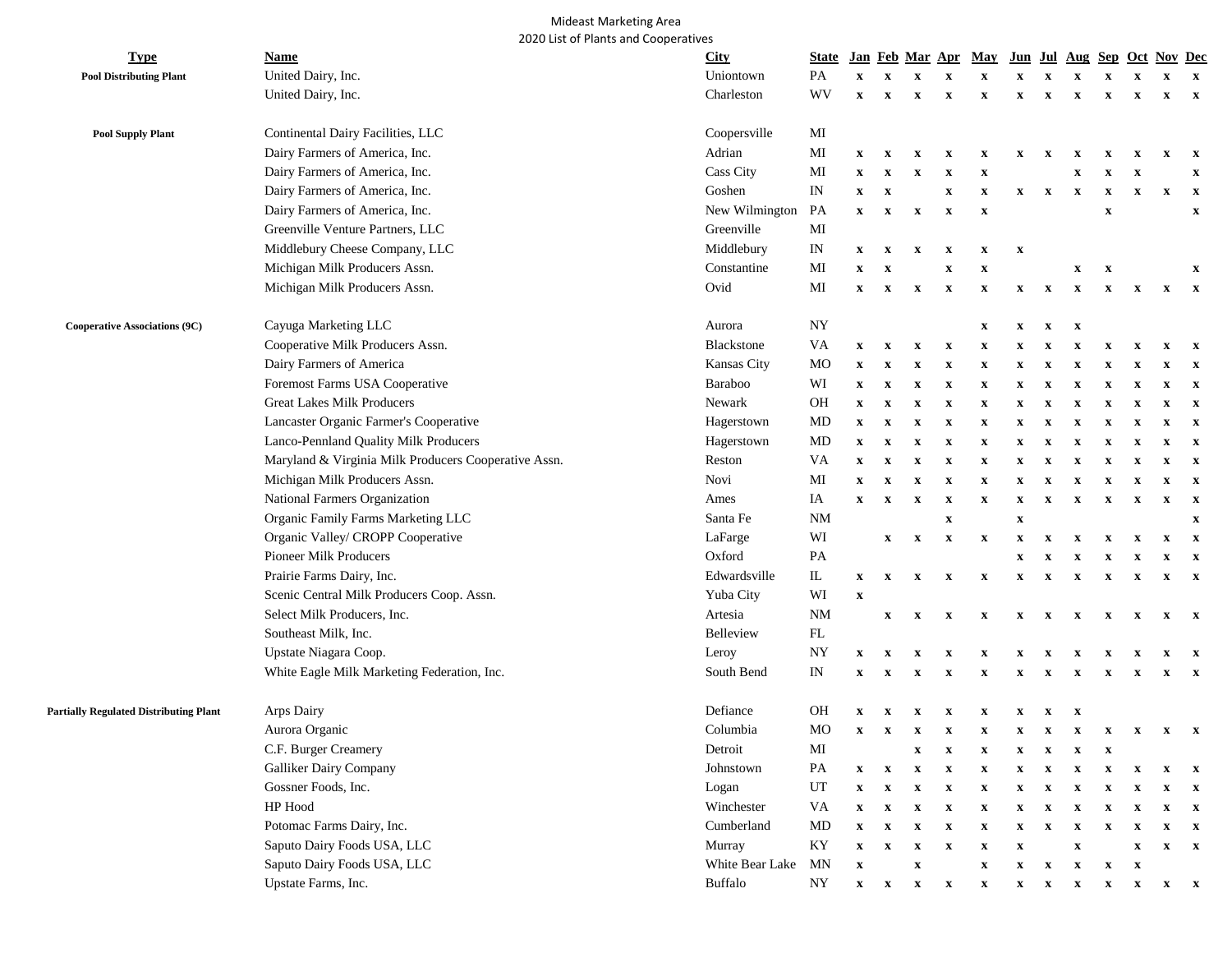## Mideast Marketing Area 2020 List of Plants and Cooperatives

| <b>Type</b>                                   | Name                                                 | <b>City</b>      | <b>State</b>                      |                           |                           |                           | Jan Feb Mar Apr           | <b>May</b>                | Jun                       | Jul                       | Aug                       | <b>Sep</b>                |                           | <b>Oct Nov Dec</b>        |                           |
|-----------------------------------------------|------------------------------------------------------|------------------|-----------------------------------|---------------------------|---------------------------|---------------------------|---------------------------|---------------------------|---------------------------|---------------------------|---------------------------|---------------------------|---------------------------|---------------------------|---------------------------|
| <b>Pool Distributing Plant</b>                | United Dairy, Inc.                                   | Uniontown        | PA                                | $\mathbf x$               | $\boldsymbol{\mathrm{x}}$ | $\boldsymbol{\mathrm{x}}$ | X                         | $\boldsymbol{\mathrm{X}}$ | x                         | $\mathbf x$               | X                         | $\mathbf X$               | $\boldsymbol{\mathrm{X}}$ | $\boldsymbol{\mathrm{X}}$ | $\mathbf{x}$              |
|                                               | United Dairy, Inc.                                   | Charleston       | WV                                | $\mathbf x$               | $\mathbf{x}$              | $\mathbf{x}$              | $\mathbf{x}$              | X                         | $\mathbf x$               | $\mathbf{x}$              | $\mathbf{x}$              | $\mathbf{x}$              | $\mathbf{x}$              | $\mathbf x$               | $\mathbf{x}$              |
| <b>Pool Supply Plant</b>                      | Continental Dairy Facilities, LLC                    | Coopersville     | MI                                |                           |                           |                           |                           |                           |                           |                           |                           |                           |                           |                           |                           |
|                                               | Dairy Farmers of America, Inc.                       | Adrian           | MI                                | $\mathbf x$               | $\mathbf{x}$              | x                         | X                         | X                         | X                         | $\mathbf{x}$              | $\mathbf{x}$              | X                         | $\mathbf x$               | x                         | $\mathbf{x}$              |
|                                               | Dairy Farmers of America, Inc.                       | Cass City        | MI                                | $\mathbf x$               | $\boldsymbol{\mathrm{X}}$ | x                         | X                         | $\boldsymbol{\mathrm{X}}$ |                           |                           | $\boldsymbol{\mathrm{X}}$ | $\boldsymbol{\mathrm{X}}$ | $\mathbf{x}$              |                           | $\mathbf x$               |
|                                               | Dairy Farmers of America, Inc.                       | Goshen           | IN                                | $\boldsymbol{\mathrm{X}}$ | $\boldsymbol{\mathrm{X}}$ |                           | $\mathbf x$               | $\mathbf x$               | $\mathbf{x}$              | $\boldsymbol{\mathrm{X}}$ | $\boldsymbol{\mathrm{X}}$ | $\boldsymbol{\mathrm{X}}$ | $\boldsymbol{\mathrm{x}}$ | $\boldsymbol{\mathrm{x}}$ | $\mathbf{x}$              |
|                                               | Dairy Farmers of America, Inc.                       | New Wilmington   | PA                                | $\mathbf{x}$              | $\mathbf{x}$              | $\mathbf X$               | $\mathbf{x}$              | $\boldsymbol{\mathrm{X}}$ |                           |                           |                           | $\mathbf X$               |                           |                           | $\boldsymbol{\mathrm{X}}$ |
|                                               | Greenville Venture Partners, LLC                     | Greenville       | MI                                |                           |                           |                           |                           |                           |                           |                           |                           |                           |                           |                           |                           |
|                                               | Middlebury Cheese Company, LLC                       | Middlebury       | IN                                | $\boldsymbol{\mathrm{X}}$ | $\mathbf{x}$              | $\mathbf x$               | $\mathbf{x}$              | X                         | $\boldsymbol{\mathrm{X}}$ |                           |                           |                           |                           |                           |                           |
|                                               | Michigan Milk Producers Assn.                        | Constantine      | MI                                | $\boldsymbol{\mathrm{x}}$ | $\boldsymbol{\mathrm{X}}$ |                           | X                         | $\boldsymbol{\mathrm{X}}$ |                           |                           | $\boldsymbol{\mathrm{X}}$ | $\boldsymbol{\mathrm{X}}$ |                           |                           | $\mathbf x$               |
|                                               | Michigan Milk Producers Assn.                        | Ovid             | MI                                | $\boldsymbol{\mathrm{x}}$ | $\boldsymbol{\mathrm{X}}$ | $\mathbf x$               | $\mathbf x$               | $\boldsymbol{\mathrm{X}}$ | $\mathbf x$               | $\boldsymbol{\mathrm{x}}$ | $\boldsymbol{\mathrm{X}}$ | $\boldsymbol{\mathrm{X}}$ | $\mathbf{x}$              | $\boldsymbol{\mathrm{X}}$ | $\mathbf{x}$              |
| <b>Cooperative Associations (9C)</b>          | Cayuga Marketing LLC                                 | Aurora           | NY                                |                           |                           |                           |                           | $\mathbf x$               | X                         | x                         | X                         |                           |                           |                           |                           |
|                                               | Cooperative Milk Producers Assn.                     | Blackstone       | VA                                | x                         | $\mathbf{x}$              | $\mathbf x$               | $\mathbf{x}$              | $\boldsymbol{\mathrm{X}}$ | x                         | x                         | x                         | X                         | X                         | X                         | $\mathbf{x}$              |
|                                               | Dairy Farmers of America                             | Kansas City      | <b>MO</b>                         | $\mathbf x$               | $\boldsymbol{\mathrm{X}}$ | $\mathbf x$               | $\mathbf x$               | $\boldsymbol{\mathrm{X}}$ | X                         | X                         | x                         | $\mathbf X$               | $\boldsymbol{\mathrm{X}}$ |                           | $\mathbf{x}$              |
|                                               | Foremost Farms USA Cooperative                       | Baraboo          | WI                                | $\mathbf x$               | $\boldsymbol{\mathrm{X}}$ | $\mathbf x$               | $\mathbf x$               | $\boldsymbol{\mathrm{X}}$ | X                         | $\mathbf x$               | $\boldsymbol{\mathrm{X}}$ | $\boldsymbol{\mathrm{X}}$ | $\boldsymbol{\mathrm{X}}$ | X                         | $\mathbf{x}$              |
|                                               | <b>Great Lakes Milk Producers</b>                    | Newark           | OH                                | $\boldsymbol{\mathrm{X}}$ | $\boldsymbol{\mathrm{X}}$ | $\boldsymbol{\mathrm{X}}$ | $\mathbf{x}$              | $\boldsymbol{\mathrm{X}}$ | X                         | $\mathbf x$               | $\mathbf x$               | X                         | $\boldsymbol{\mathrm{x}}$ | X                         | $\mathbf{x}$              |
|                                               | Lancaster Organic Farmer's Cooperative               | Hagerstown       | MD                                | $\boldsymbol{\mathrm{X}}$ | $\mathbf{x}$              | $\boldsymbol{\mathrm{X}}$ | $\mathbf x$               | $\mathbf x$               | X                         | $\mathbf x$               | $\mathbf x$               | $\boldsymbol{\mathrm{X}}$ | $\boldsymbol{\mathrm{x}}$ | X                         | $\mathbf{x}$              |
|                                               | Lanco-Pennland Quality Milk Producers                | Hagerstown       | MD                                | $\boldsymbol{\mathrm{X}}$ | $\boldsymbol{\mathrm{X}}$ | $\mathbf{x}$              | $\mathbf{x}$              | $\mathbf X$               | X                         | $\mathbf x$               | $\boldsymbol{\mathrm{X}}$ | $\boldsymbol{\mathrm{X}}$ | $\mathbf{x}$              | X                         | $\mathbf{x}$              |
|                                               | Maryland & Virginia Milk Producers Cooperative Assn. | Reston           | VA                                | $\boldsymbol{\mathrm{X}}$ | $\boldsymbol{\mathrm{X}}$ | $\boldsymbol{\mathrm{X}}$ | $\mathbf x$               | $\boldsymbol{\mathrm{X}}$ | $\mathbf{x}$              | $\mathbf x$               | $\boldsymbol{\mathrm{X}}$ | $\boldsymbol{\mathrm{X}}$ | $\boldsymbol{\mathrm{x}}$ | x                         | $\mathbf{x}$              |
|                                               | Michigan Milk Producers Assn.                        | Novi             | MI                                | $\boldsymbol{\mathrm{X}}$ | $\boldsymbol{\mathrm{X}}$ | $\boldsymbol{\mathrm{X}}$ | $\mathbf{x}$              | $\mathbf x$               | $\mathbf{x}$              | $\mathbf x$               | $\boldsymbol{\mathrm{x}}$ | X                         | $\mathbf x$               | x                         | $\mathbf{x}$              |
|                                               | National Farmers Organization                        | Ames             | IA                                | $\mathbf{x}$              | $\mathbf{x}$              | $\mathbf x$               | $\mathbf{x}$              | $\boldsymbol{\mathrm{X}}$ | $\mathbf x$               | $\mathbf x$               | $\mathbf x$               | X                         | $\mathbf x$               | X                         | $\mathbf{x}$              |
|                                               | Organic Family Farms Marketing LLC                   | Santa Fe         | NM                                |                           |                           |                           | $\boldsymbol{\mathrm{X}}$ |                           | $\mathbf x$               |                           |                           |                           |                           |                           | $\mathbf{x}$              |
|                                               | Organic Valley/ CROPP Cooperative                    | LaFarge          | WI                                |                           | $\boldsymbol{\mathrm{X}}$ | $\mathbf{x}$              | $\mathbf{x}$              | $\boldsymbol{\mathrm{X}}$ | X                         | $\mathbf x$               | X                         | $\boldsymbol{\mathrm{X}}$ | $\mathbf{x}$              | X                         | $\mathbf{x}$              |
|                                               | Pioneer Milk Producers                               | Oxford           | PA                                |                           |                           |                           |                           |                           | X                         | x                         | X                         | $\mathbf x$               | $\mathbf x$               | X                         | $\mathbf{x}$              |
|                                               | Prairie Farms Dairy, Inc.                            | Edwardsville     | $\mathop{\mathrm{I\!L}}\nolimits$ | X                         | $\mathbf{x}$              | $\mathbf{x}$              | $\mathbf{x}$              | $\boldsymbol{\mathrm{X}}$ | $\mathbf{x}$              | $\mathbf{x}$              | $\mathbf{x}$              | $\mathbf x$               | $\boldsymbol{\mathrm{x}}$ | $\mathbf x$               | $\mathbf{x}$              |
|                                               | Scenic Central Milk Producers Coop. Assn.            | Yuba City        | WI                                | $\boldsymbol{\mathrm{X}}$ |                           |                           |                           |                           |                           |                           |                           |                           |                           |                           |                           |
|                                               | Select Milk Producers, Inc.                          | Artesia          | <b>NM</b>                         |                           | $\boldsymbol{\mathrm{X}}$ | $\mathbf{x}$              | $\mathbf{x}$              | X                         | $\mathbf{x}$              | $\mathbf x$               | $\mathbf{x}$              | X                         | $\mathbf{x}$              | $\boldsymbol{\mathrm{x}}$ | $\mathbf{x}$              |
|                                               | Southeast Milk, Inc.                                 | <b>Belleview</b> | FL                                |                           |                           |                           |                           |                           |                           |                           |                           |                           |                           |                           |                           |
|                                               | Upstate Niagara Coop.                                | Leroy            | NY                                | x                         | $\mathbf x$               | X                         | x                         | X                         |                           |                           | x                         | X                         | X                         | х                         |                           |
|                                               | White Eagle Milk Marketing Federation, Inc.          | South Bend       | IN                                | $\boldsymbol{\mathrm{X}}$ | $\boldsymbol{\mathrm{X}}$ | $\boldsymbol{\mathrm{X}}$ | $\mathbf x$               | $\boldsymbol{\mathrm{X}}$ | X                         | $\mathbf x$               | $\mathbf x$               | X                         | $\mathbf{x}$              | X                         | $\mathbf{x}$              |
| <b>Partially Regulated Distributing Plant</b> | Arps Dairy                                           | Defiance         | OН                                |                           | x                         | X                         | x                         | x                         | x                         | X                         | $\mathbf x$               |                           |                           |                           |                           |
|                                               | Aurora Organic                                       | Columbia         | MO                                | X                         | $\mathbf{x}$              | $\mathbf{x}$              | $\mathbf{x}$              | $\mathbf x$               | $\mathbf{x}$              | $\mathbf{x}$              | $\mathbf{x}$              | $\mathbf{x}$              | $\mathbf{x}$              | $\mathbf{x}$              | $\mathbf{x}$              |
|                                               | C.F. Burger Creamery                                 | Detroit          | MI                                |                           |                           | $\boldsymbol{\mathrm{X}}$ | $\boldsymbol{\mathrm{X}}$ | $\mathbf x$               | $\mathbf{x}$              | $\mathbf{x}$              | $\mathbf{x}$              | $\mathbf{x}$              |                           |                           |                           |
|                                               | Galliker Dairy Company                               | Johnstown        | PA                                | $\mathbf{x}$              | $\boldsymbol{\mathrm{X}}$ | $\mathbf x$               | $\mathbf x$               | $\boldsymbol{\mathrm{X}}$ | $\mathbf{x}$              | $\mathbf{x}$              | $\boldsymbol{\mathrm{X}}$ | $\boldsymbol{\mathrm{X}}$ | $\boldsymbol{\mathrm{x}}$ | X                         | $\mathbf{x}$              |
|                                               | Gossner Foods, Inc.                                  | Logan            | UT                                | $\mathbf X$               | $\mathbf X$               | $\mathbf x$               | $\mathbf x$               | $\mathbf X$               | $\mathbf{x}$              | $\boldsymbol{\mathrm{x}}$ | $\mathbf{x}$              | $\mathbf{x}$              | $\boldsymbol{\mathrm{x}}$ | x                         | $\mathbf{x}$              |
|                                               | HP Hood                                              | Winchester       | VA                                | $\boldsymbol{\mathrm{X}}$ | $\boldsymbol{\mathrm{X}}$ | $\mathbf{x}$              | $\mathbf x$               | $\mathbf X$               | $\mathbf x$               | $\boldsymbol{\mathrm{X}}$ | $\boldsymbol{\mathrm{X}}$ | $\mathbf{x}$              | $\mathbf{x}$              | $\mathbf x$               | $\mathbf{x}$              |
|                                               | Potomac Farms Dairy, Inc.                            | Cumberland       | MD                                | $\mathbf X$               | $\boldsymbol{\mathrm{X}}$ | $\boldsymbol{\mathrm{X}}$ | $\mathbf x$               | $\mathbf X$               | $\mathbf{x}$              | $\boldsymbol{\mathrm{X}}$ | $\mathbf{x}$              | $\boldsymbol{\mathrm{X}}$ | $\boldsymbol{\mathrm{x}}$ | $\mathbf x$               | $\mathbf{x}$              |
|                                               | Saputo Dairy Foods USA, LLC                          | Murray           | $\mathbf{K}\mathbf{Y}$            | $\mathbf X$               | $\boldsymbol{\mathrm{X}}$ | $\boldsymbol{\mathrm{X}}$ | $\mathbf{x}$              | $\mathbf X$               | $\boldsymbol{\mathrm{X}}$ |                           | $\mathbf X$               |                           | $\mathbf X$               | $\mathbf{x}$              | $\mathbf{x}$              |
|                                               | Saputo Dairy Foods USA, LLC                          | White Bear Lake  | <b>MN</b>                         | $\boldsymbol{\mathrm{X}}$ |                           | $\mathbf X$               |                           | $\mathbf X$               | $\boldsymbol{\mathrm{X}}$ | $\boldsymbol{\mathrm{X}}$ | $\boldsymbol{\mathrm{X}}$ | $\mathbf X$               | $\boldsymbol{\mathrm{x}}$ |                           |                           |
|                                               | Upstate Farms, Inc.                                  | <b>Buffalo</b>   | NY                                | $\mathbf{x}$              | $\mathbf x$               | $\mathbf{x}$              | $\mathbf x$               | $\mathbf X$               | $\mathbf{x}$              | $\mathbf{x}$              | $\mathbf{x}$              | $\mathbf{x}$              | $\mathbf{x}$              | $\mathbf{x}$              | $\mathbf{x}$              |